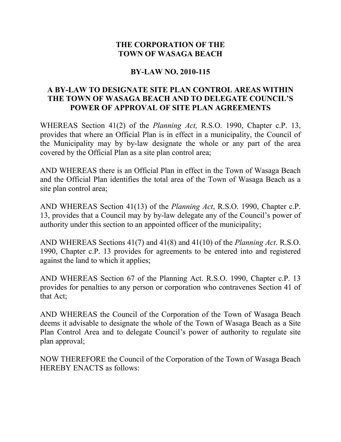## **THE CORPORATION OF THE TOWN OF WASAGA BEACH**

## **BY-LAW NO. 2010-115**

## **A BY-LAW TO DESIGNATE SITE PLAN CONTROL AREAS WITHIN THE TOWN OF WASAGA BEACH AND TO DELEGATE COUNCIL'S POWER OF APPROVAL OF SITE PLAN AGREEMENTS**

WHEREAS Section 41(2) of the *Planning Act,* R.S.O. 1990, Chapter c.P. 13, provides that where an Official Plan is in effect in a municipality, the Council of the Municipality may by by-law designate the whole or any part of the area covered by the Official Plan as a site plan control area;

AND WHEREAS there is an Official Plan in effect in the Town of Wasaga Beach and the Official Plan identifies the total area of the Town of Wasaga Beach as a site plan control area;

AND WHEREAS Section 41(13) of the *Planning Act*, R.S.O. 1990, Chapter c.P. 13, provides that a Council may by by-law delegate any of the Council's power of authority under this section to an appointed officer of the municipality;

AND WHEREAS Sections 41(7) and 41(8) and 41(10) of the *Planning Act*. R.S.O. 1990, Chapter c.P. 13 provides for agreements to be entered into and registered against the land to which it applies;

AND WHEREAS Section 67 of the Planning Act. R.S.O. 1990, Chapter c.P. 13 provides for penalties to any person or corporation who contravenes Section 41 of that Act;

AND WHEREAS the Council of the Corporation of the Town of Wasaga Beach deems it advisable to designate the whole of the Town of Wasaga Beach as a Site Plan Control Area and to delegate Council's power of authority to regulate site plan approval;

NOW THEREFORE the Council of the Corporation of the Town of Wasaga Beach HEREBY ENACTS as follows: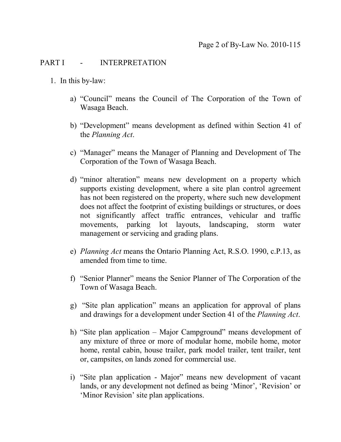#### PART I - INTERPRETATION

- 1. In this by-law:
	- a) "Council" means the Council of The Corporation of the Town of Wasaga Beach.
	- b) "Development" means development as defined within Section 41 of the *Planning Act*.
	- c) "Manager" means the Manager of Planning and Development of The Corporation of the Town of Wasaga Beach.
	- d) "minor alteration" means new development on a property which supports existing development, where a site plan control agreement has not been registered on the property, where such new development does not affect the footprint of existing buildings or structures, or does not significantly affect traffic entrances, vehicular and traffic movements, parking lot layouts, landscaping, storm water management or servicing and grading plans.
	- e) *Planning Act* means the Ontario Planning Act, R.S.O. 1990, c.P.13, as amended from time to time.
	- f) "Senior Planner" means the Senior Planner of The Corporation of the Town of Wasaga Beach.
	- g) "Site plan application" means an application for approval of plans and drawings for a development under Section 41 of the *Planning Act*.
	- h) "Site plan application Major Campground" means development of any mixture of three or more of modular home, mobile home, motor home, rental cabin, house trailer, park model trailer, tent trailer, tent or, campsites, on lands zoned for commercial use.
	- i) "Site plan application Major" means new development of vacant lands, or any development not defined as being 'Minor', 'Revision' or 'Minor Revision' site plan applications.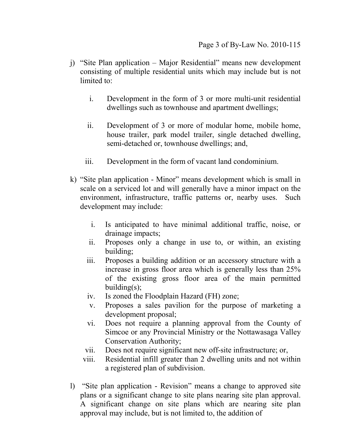- j) "Site Plan application Major Residential" means new development consisting of multiple residential units which may include but is not limited to:
	- i. Development in the form of 3 or more multi-unit residential dwellings such as townhouse and apartment dwellings;
	- ii. Development of 3 or more of modular home, mobile home, house trailer, park model trailer, single detached dwelling, semi-detached or, townhouse dwellings; and,
	- iii. Development in the form of vacant land condominium.
- k) "Site plan application Minor" means development which is small in scale on a serviced lot and will generally have a minor impact on the environment, infrastructure, traffic patterns or, nearby uses. Such development may include:
	- i. Is anticipated to have minimal additional traffic, noise, or drainage impacts;
	- ii. Proposes only a change in use to, or within, an existing building;
	- iii. Proposes a building addition or an accessory structure with a increase in gross floor area which is generally less than 25% of the existing gross floor area of the main permitted building $(s)$ ;
	- iv. Is zoned the Floodplain Hazard (FH) zone;
	- v. Proposes a sales pavilion for the purpose of marketing a development proposal;
	- vi. Does not require a planning approval from the County of Simcoe or any Provincial Ministry or the Nottawasaga Valley Conservation Authority;
	- vii. Does not require significant new off-site infrastructure; or,
	- viii. Residential infill greater than 2 dwelling units and not within a registered plan of subdivision.
- l) "Site plan application Revision" means a change to approved site plans or a significant change to site plans nearing site plan approval. A significant change on site plans which are nearing site plan approval may include, but is not limited to, the addition of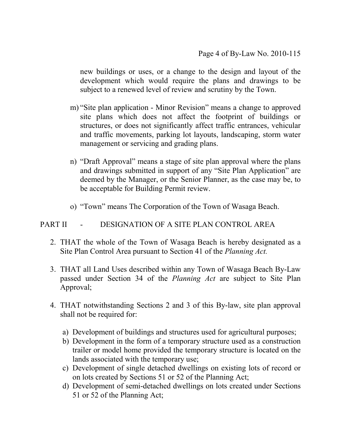new buildings or uses, or a change to the design and layout of the development which would require the plans and drawings to be subject to a renewed level of review and scrutiny by the Town.

- m) "Site plan application Minor Revision" means a change to approved site plans which does not affect the footprint of buildings or structures, or does not significantly affect traffic entrances, vehicular and traffic movements, parking lot layouts, landscaping, storm water management or servicing and grading plans.
- n) "Draft Approval" means a stage of site plan approval where the plans and drawings submitted in support of any "Site Plan Application" are deemed by the Manager, or the Senior Planner, as the case may be, to be acceptable for Building Permit review.
- o) "Town" means The Corporation of the Town of Wasaga Beach.

#### PART II - DESIGNATION OF A SITE PLAN CONTROL AREA

- 2. THAT the whole of the Town of Wasaga Beach is hereby designated as a Site Plan Control Area pursuant to Section 41 of the *Planning Act.*
- 3. THAT all Land Uses described within any Town of Wasaga Beach By-Law passed under Section 34 of the *Planning Act* are subject to Site Plan Approval;
- 4. THAT notwithstanding Sections 2 and 3 of this By-law, site plan approval shall not be required for:
	- a) Development of buildings and structures used for agricultural purposes;
	- b) Development in the form of a temporary structure used as a construction trailer or model home provided the temporary structure is located on the lands associated with the temporary use;
	- c) Development of single detached dwellings on existing lots of record or on lots created by Sections 51 or 52 of the Planning Act;
	- d) Development of semi-detached dwellings on lots created under Sections 51 or 52 of the Planning Act;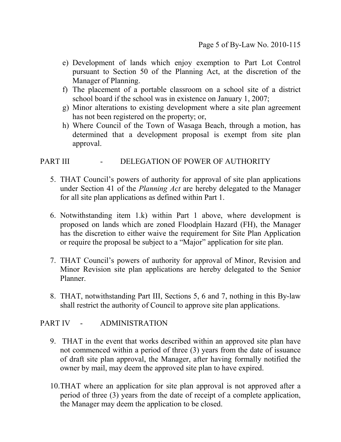- e) Development of lands which enjoy exemption to Part Lot Control pursuant to Section 50 of the Planning Act, at the discretion of the Manager of Planning.
- f) The placement of a portable classroom on a school site of a district school board if the school was in existence on January 1, 2007;
- g) Minor alterations to existing development where a site plan agreement has not been registered on the property; or,
- h) Where Council of the Town of Wasaga Beach, through a motion, has determined that a development proposal is exempt from site plan approval.

## PART III - DELEGATION OF POWER OF AUTHORITY

- 5. THAT Council's powers of authority for approval of site plan applications under Section 41 of the *Planning Act* are hereby delegated to the Manager for all site plan applications as defined within Part 1.
- 6. Notwithstanding item 1.k) within Part 1 above, where development is proposed on lands which are zoned Floodplain Hazard (FH), the Manager has the discretion to either waive the requirement for Site Plan Application or require the proposal be subject to a "Major" application for site plan.
- 7. THAT Council's powers of authority for approval of Minor, Revision and Minor Revision site plan applications are hereby delegated to the Senior Planner.
- 8. THAT, notwithstanding Part III, Sections 5, 6 and 7, nothing in this By-law shall restrict the authority of Council to approve site plan applications.

#### PART IV - ADMINISTRATION

- 9. THAT in the event that works described within an approved site plan have not commenced within a period of three (3) years from the date of issuance of draft site plan approval, the Manager, after having formally notified the owner by mail, may deem the approved site plan to have expired.
- 10.THAT where an application for site plan approval is not approved after a period of three (3) years from the date of receipt of a complete application, the Manager may deem the application to be closed.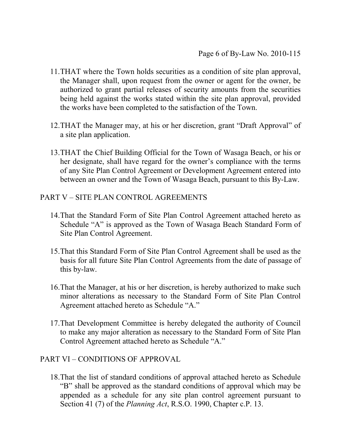- 11.THAT where the Town holds securities as a condition of site plan approval, the Manager shall, upon request from the owner or agent for the owner, be authorized to grant partial releases of security amounts from the securities being held against the works stated within the site plan approval, provided the works have been completed to the satisfaction of the Town.
- 12.THAT the Manager may, at his or her discretion, grant "Draft Approval" of a site plan application.
- 13.THAT the Chief Building Official for the Town of Wasaga Beach, or his or her designate, shall have regard for the owner's compliance with the terms of any Site Plan Control Agreement or Development Agreement entered into between an owner and the Town of Wasaga Beach, pursuant to this By-Law.

## PART V – SITE PLAN CONTROL AGREEMENTS

- 14.That the Standard Form of Site Plan Control Agreement attached hereto as Schedule "A" is approved as the Town of Wasaga Beach Standard Form of Site Plan Control Agreement.
- 15.That this Standard Form of Site Plan Control Agreement shall be used as the basis for all future Site Plan Control Agreements from the date of passage of this by-law.
- 16.That the Manager, at his or her discretion, is hereby authorized to make such minor alterations as necessary to the Standard Form of Site Plan Control Agreement attached hereto as Schedule "A."
- 17.That Development Committee is hereby delegated the authority of Council to make any major alteration as necessary to the Standard Form of Site Plan Control Agreement attached hereto as Schedule "A."

## PART VI – CONDITIONS OF APPROVAL

18.That the list of standard conditions of approval attached hereto as Schedule "B" shall be approved as the standard conditions of approval which may be appended as a schedule for any site plan control agreement pursuant to Section 41 (7) of the *Planning Act*, R.S.O. 1990, Chapter c.P. 13.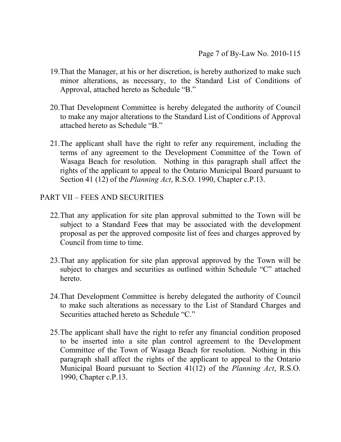- 19.That the Manager, at his or her discretion, is hereby authorized to make such minor alterations, as necessary, to the Standard List of Conditions of Approval, attached hereto as Schedule "B."
- 20.That Development Committee is hereby delegated the authority of Council to make any major alterations to the Standard List of Conditions of Approval attached hereto as Schedule "B."
- 21.The applicant shall have the right to refer any requirement, including the terms of any agreement to the Development Committee of the Town of Wasaga Beach for resolution. Nothing in this paragraph shall affect the rights of the applicant to appeal to the Ontario Municipal Board pursuant to Section 41 (12) of the *Planning Act*, R.S.O. 1990, Chapter c.P.13.

## PART VII – FEES AND SECURITIES

- 22.That any application for site plan approval submitted to the Town will be subject to a Standard Fees that may be associated with the development proposal as per the approved composite list of fees and charges approved by Council from time to time.
- 23.That any application for site plan approval approved by the Town will be subject to charges and securities as outlined within Schedule "C" attached hereto.
- 24.That Development Committee is hereby delegated the authority of Council to make such alterations as necessary to the List of Standard Charges and Securities attached hereto as Schedule "C."
- 25.The applicant shall have the right to refer any financial condition proposed to be inserted into a site plan control agreement to the Development Committee of the Town of Wasaga Beach for resolution. Nothing in this paragraph shall affect the rights of the applicant to appeal to the Ontario Municipal Board pursuant to Section 41(12) of the *Planning Act*, R.S.O. 1990, Chapter c.P.13.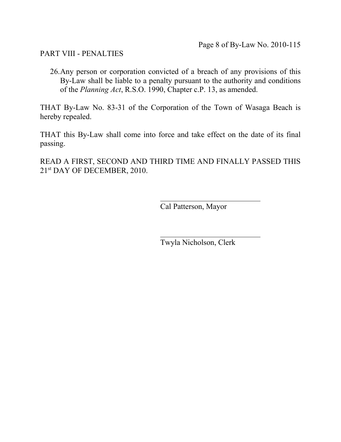PART VIII - PENALTIES

26.Any person or corporation convicted of a breach of any provisions of this By-Law shall be liable to a penalty pursuant to the authority and conditions of the *Planning Act*, R.S.O. 1990, Chapter c.P. 13, as amended.

THAT By-Law No. 83-31 of the Corporation of the Town of Wasaga Beach is hereby repealed.

THAT this By-Law shall come into force and take effect on the date of its final passing.

READ A FIRST, SECOND AND THIRD TIME AND FINALLY PASSED THIS 21st DAY OF DECEMBER, 2010.

Cal Patterson, Mayor

Twyla Nicholson, Clerk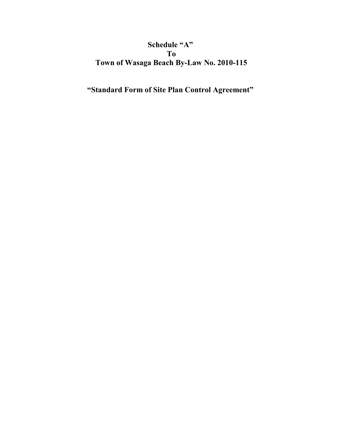# **Schedule "A" To Town of Wasaga Beach By-Law No. 2010-115**

**"Standard Form of Site Plan Control Agreement"**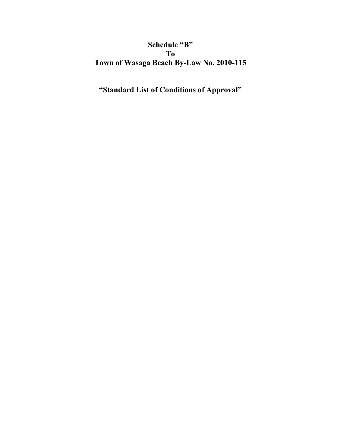# **Schedule "B" To Town of Wasaga Beach By-Law No. 2010-115**

# **"Standard List of Conditions of Approval"**